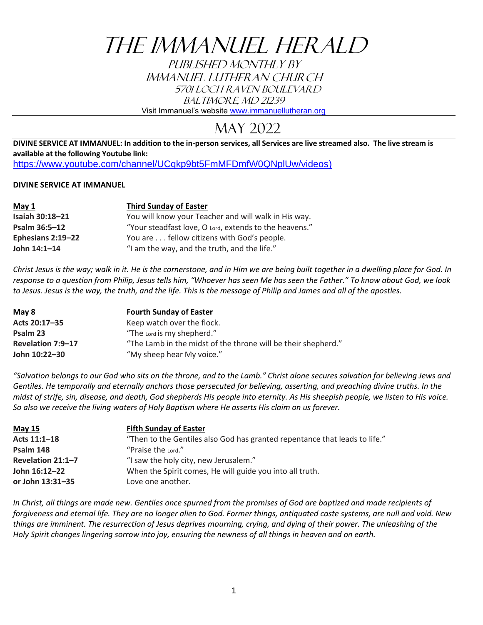# THE IMMANUEL HERALD

PUBLISHED MONTHLY BY IMMANUEL LUTHERAN CHURCH 5701 Loch Raven Boulevard BALTIMORE, MD 21239

Visit Immanuel's website [www.immanuellutheran.org](http://www.immanuellutheran.org/)

### May 2022

**DIVINE SERVICE AT IMMANUEL: In addition to the in-person services, all Services are live streamed also. The live stream is available at the following Youtube link:**  [https://www.youtube.com/channel/UCqkp9bt5FmMFDmfW0QNplUw/videos\)](https://www.youtube.com/channel/UCqkp9bt5FmMFDmfW0QNplUw/videos)

#### **DIVINE SERVICE AT IMMANUEL**

| May 1             | <b>Third Sunday of Easter</b>                          |
|-------------------|--------------------------------------------------------|
| Isaiah 30:18-21   | You will know your Teacher and will walk in His way.   |
| Psalm 36:5-12     | "Your steadfast love, O Lord, extends to the heavens." |
| Ephesians 2:19-22 | You are fellow citizens with God's people.             |
| John 14:1-14      | "I am the way, and the truth, and the life."           |

*Christ Jesus is the way; walk in it. He is the cornerstone, and in Him we are being built together in a dwelling place for God. In response to a question from Philip, Jesus tells him, "Whoever has seen Me has seen the Father." To know about God, we look to Jesus. Jesus is the way, the truth, and the life. This is the message of Philip and James and all of the apostles.*

| May 8             | <b>Fourth Sunday of Easter</b>                                |
|-------------------|---------------------------------------------------------------|
| Acts 20:17-35     | Keep watch over the flock.                                    |
| Psalm 23          | "The Lord is my shepherd."                                    |
| Revelation 7:9-17 | "The Lamb in the midst of the throne will be their shepherd." |
| John 10:22-30     | "My sheep hear My voice."                                     |

*"Salvation belongs to our God who sits on the throne, and to the Lamb." Christ alone secures salvation for believing Jews and Gentiles. He temporally and eternally anchors those persecuted for believing, asserting, and preaching divine truths. In the midst of strife, sin, disease, and death, God shepherds His people into eternity. As His sheepish people, we listen to His voice. So also we receive the living waters of Holy Baptism where He asserts His claim on us forever.*

| <b>May 15</b>     | <b>Fifth Sunday of Easter</b>                                              |
|-------------------|----------------------------------------------------------------------------|
| Acts 11:1-18      | "Then to the Gentiles also God has granted repentance that leads to life." |
| Psalm 148         | "Praise the Lord."                                                         |
| Revelation 21:1-7 | "I saw the holy city, new Jerusalem."                                      |
| John 16:12-22     | When the Spirit comes, He will guide you into all truth.                   |
| or John 13:31-35  | Love one another.                                                          |

In Christ, all things are made new. Gentiles once spurned from the promises of God are baptized and made recipients of *forgiveness and eternal life. They are no longer alien to God. Former things, antiquated caste systems, are null and void. New things are imminent. The resurrection of Jesus deprives mourning, crying, and dying of their power. The unleashing of the Holy Spirit changes lingering sorrow into joy, ensuring the newness of all things in heaven and on earth.*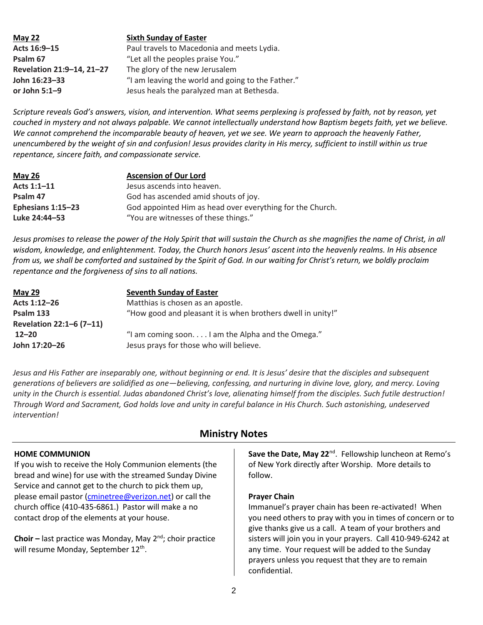**May 22 Sixth Sunday of Easter Acts 16:9–15** Paul travels to Macedonia and meets Lydia. **Psalm 67** "Let all the peoples praise You." **Revelation 21:9–14, 21–27** The glory of the new Jerusalem **John 16:23–33** "I am leaving the world and going to the Father." **or John 5:1–9** Jesus heals the paralyzed man at Bethesda.

*Scripture reveals God's answers, vision, and intervention. What seems perplexing is professed by faith, not by reason, yet couched in mystery and not always palpable. We cannot intellectually understand how Baptism begets faith, yet we believe. We cannot comprehend the incomparable beauty of heaven, yet we see. We yearn to approach the heavenly Father, unencumbered by the weight of sin and confusion! Jesus provides clarity in His mercy, sufficient to instill within us true repentance, sincere faith, and compassionate service.*

| May 26            | <b>Ascension of Our Lord</b>                              |
|-------------------|-----------------------------------------------------------|
| Acts $1:1-11$     | Jesus ascends into heaven.                                |
| Psalm 47          | God has ascended amid shouts of joy.                      |
| Ephesians 1:15-23 | God appointed Him as head over everything for the Church. |
| Luke 24:44–53     | "You are witnesses of these things."                      |

*Jesus promises to release the power of the Holy Spirit that will sustain the Church as she magnifies the name of Christ, in all wisdom, knowledge, and enlightenment. Today, the Church honors Jesus' ascent into the heavenly realms. In His absence from us, we shall be comforted and sustained by the Spirit of God. In our waiting for Christ's return, we boldly proclaim repentance and the forgiveness of sins to all nations.*

| <b>May 29</b>            | <b>Seventh Sunday of Easter</b>                             |  |  |  |
|--------------------------|-------------------------------------------------------------|--|--|--|
| Acts 1:12-26             | Matthias is chosen as an apostle.                           |  |  |  |
| Psalm 133                | "How good and pleasant it is when brothers dwell in unity!" |  |  |  |
| Revelation 22:1-6 (7-11) |                                                             |  |  |  |
| $12 - 20$                | "I am coming soonI am the Alpha and the Omega."             |  |  |  |
| John 17:20-26            | Jesus prays for those who will believe.                     |  |  |  |

*Jesus and His Father are inseparably one, without beginning or end. It is Jesus' desire that the disciples and subsequent generations of believers are solidified as one—believing, confessing, and nurturing in divine love, glory, and mercy. Loving unity in the Church is essential. Judas abandoned Christ's love, alienating himself from the disciples. Such futile destruction! Through Word and Sacrament, God holds love and unity in careful balance in His Church. Such astonishing, undeserved intervention!*

#### **HOME COMMUNION**

If you wish to receive the Holy Communion elements (the bread and wine) for use with the streamed Sunday Divine Service and cannot get to the church to pick them up, please email pastor [\(cminetree@verizon.net\)](mailto:cminetree@verizon.net) or call the church office (410-435-6861.) Pastor will make a no contact drop of the elements at your house.

**Choir –** last practice was Monday, May 2nd; choir practice will resume Monday, September 12<sup>th</sup>.

#### **Ministry Notes**

Save the Date, May 22<sup>nd</sup>. Fellowship luncheon at Remo's of New York directly after Worship. More details to follow.

#### **Prayer Chain**

Immanuel's prayer chain has been re-activated! When you need others to pray with you in times of concern or to give thanks give us a call. A team of your brothers and sisters will join you in your prayers. Call 410-949-6242 at any time. Your request will be added to the Sunday prayers unless you request that they are to remain confidential.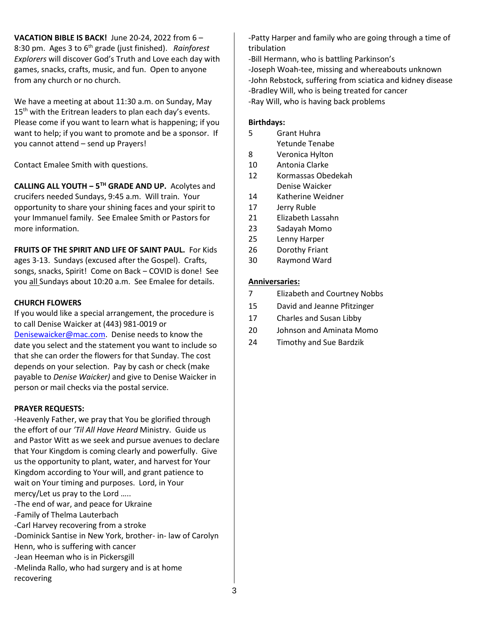**VACATION BIBLE IS BACK!** June 20-24, 2022 from 6 – 8:30 pm. Ages 3 to 6th grade (just finished). *Rainforest Explorers* will discover God's Truth and Love each day with games, snacks, crafts, music, and fun. Open to anyone from any church or no church.

We have a meeting at about 11:30 a.m. on Sunday, May  $15<sup>th</sup>$  with the Eritrean leaders to plan each day's events. Please come if you want to learn what is happening; if you want to help; if you want to promote and be a sponsor. If you cannot attend – send up Prayers!

Contact Emalee Smith with questions.

**CALLING ALL YOUTH ‒ 5TH GRADE AND UP.** Acolytes and crucifers needed Sundays, 9:45 a.m. Will train. Your opportunity to share your shining faces and your spirit to your Immanuel family. See Emalee Smith or Pastors for more information.

**FRUITS OF THE SPIRIT AND LIFE OF SAINT PAUL.** For Kids ages 3-13. Sundays (excused after the Gospel). Crafts, songs, snacks, Spirit! Come on Back - COVID is done! See you all Sundays about 10:20 a.m. See Emalee for details.

#### **CHURCH FLOWERS**

If you would like a special arrangement, the procedure is to call Denise Waicker at (443) 981-0019 or [Denisewaicker@mac.com.](mailto:Denisewaicker@mac.com) Denise needs to know the date you select and the statement you want to include so that she can order the flowers for that Sunday. The cost depends on your selection. Pay by cash or check (make payable to *Denise Waicker)* and give to Denise Waicker in person or mail checks via the postal service.

#### **PRAYER REQUESTS:**

-Heavenly Father, we pray that You be glorified through the effort of our *'Til All Have Heard* Ministry. Guide us and Pastor Witt as we seek and pursue avenues to declare that Your Kingdom is coming clearly and powerfully. Give us the opportunity to plant, water, and harvest for Your Kingdom according to Your will, and grant patience to wait on Your timing and purposes. Lord, in Your mercy/Let us pray to the Lord ….. -The end of war, and peace for Ukraine -Family of Thelma Lauterbach -Carl Harvey recovering from a stroke -Dominick Santise in New York, brother- in- law of Carolyn Henn, who is suffering with cancer -Jean Heeman who is in Pickersgill -Melinda Rallo, who had surgery and is at home recovering

-Patty Harper and family who are going through a time of tribulation

-Bill Hermann, who is battling Parkinson's -Joseph Woah-tee, missing and whereabouts unknown -John Rebstock, suffering from sciatica and kidney disease -Bradley Will, who is being treated for cancer -Ray Will, who is having back problems

#### **Birthdays:**

- 5 Grant Huhra Yetunde Tenabe
- 8 Veronica Hylton
- 10 Antonia Clarke
- 12 Kormassas Obedekah Denise Waicker
- 14 Katherine Weidner
- 17 Jerry Ruble
- 21 Elizabeth Lassahn
- 23 Sadayah Momo
- 25 Lenny Harper
- 26 Dorothy Friant
- 30 Raymond Ward

#### **Anniversaries:**

- 7 Elizabeth and Courtney Nobbs
- 15 David and Jeanne Pfitzinger
- 17 Charles and Susan Libby
- 20 Johnson and Aminata Momo
- 24 Timothy and Sue Bardzik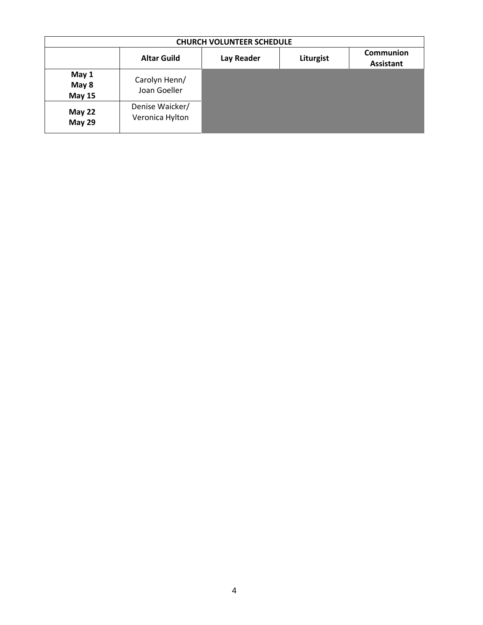| <b>CHURCH VOLUNTEER SCHEDULE</b> |                                    |            |           |                               |
|----------------------------------|------------------------------------|------------|-----------|-------------------------------|
|                                  | <b>Altar Guild</b>                 | Lay Reader | Liturgist | Communion<br><b>Assistant</b> |
| May 1<br>May 8<br><b>May 15</b>  | Carolyn Henn/<br>Joan Goeller      |            |           |                               |
| <b>May 22</b><br><b>May 29</b>   | Denise Waicker/<br>Veronica Hylton |            |           |                               |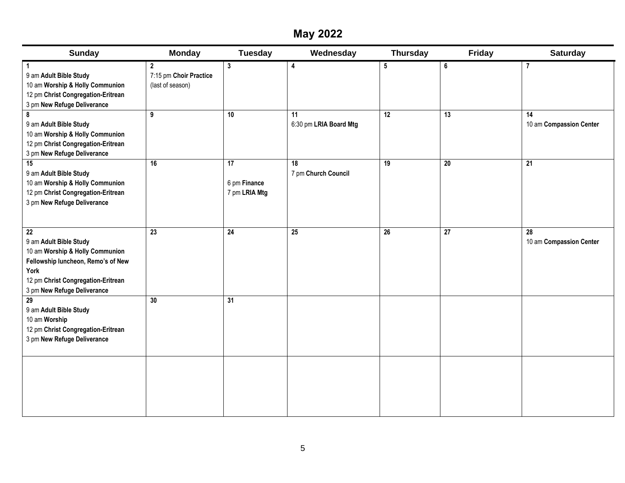### **May 2022**

| <b>Sunday</b>                                                                                                                                                                                    | <b>Monday</b>                                                   | <b>Tuesday</b>                | Wednesday                         | <b>Thursday</b>      | Friday               | <b>Saturday</b>                    |
|--------------------------------------------------------------------------------------------------------------------------------------------------------------------------------------------------|-----------------------------------------------------------------|-------------------------------|-----------------------------------|----------------------|----------------------|------------------------------------|
| 9 am Adult Bible Study<br>10 am Worship & Holly Communion<br>12 pm Christ Congregation-Eritrean<br>3 pm New Refuge Deliverance<br>8<br>9 am Adult Bible Study<br>10 am Worship & Holly Communion | $\mathbf{2}$<br>7:15 pm Choir Practice<br>(last of season)<br>9 | $\mathbf{3}$<br>10            | 4<br>11<br>6:30 pm LRIA Board Mtg | 5<br>$\overline{12}$ | 6<br>$\overline{13}$ | 7<br>14<br>10 am Compassion Center |
| 12 pm Christ Congregation-Eritrean<br>3 pm New Refuge Deliverance<br>15                                                                                                                          | 16                                                              | $\overline{17}$               | 18                                | $\overline{19}$      | $\overline{20}$      | 21                                 |
| 9 am Adult Bible Study<br>10 am Worship & Holly Communion<br>12 pm Christ Congregation-Eritrean<br>3 pm New Refuge Deliverance                                                                   |                                                                 | 6 pm Finance<br>7 pm LRIA Mtg | 7 pm Church Council               |                      |                      |                                    |
| $\overline{22}$<br>9 am Adult Bible Study<br>10 am Worship & Holly Communion<br>Fellowship luncheon, Remo's of New<br>York<br>12 pm Christ Congregation-Eritrean<br>3 pm New Refuge Deliverance  | 23                                                              | $\overline{24}$               | $\overline{25}$                   | $\overline{26}$      | $\overline{27}$      | 28<br>10 am Compassion Center      |
| $\overline{29}$<br>9 am Adult Bible Study<br>10 am Worship<br>12 pm Christ Congregation-Eritrean<br>3 pm New Refuge Deliverance                                                                  | 30                                                              | $\overline{31}$               |                                   |                      |                      |                                    |
|                                                                                                                                                                                                  |                                                                 |                               |                                   |                      |                      |                                    |